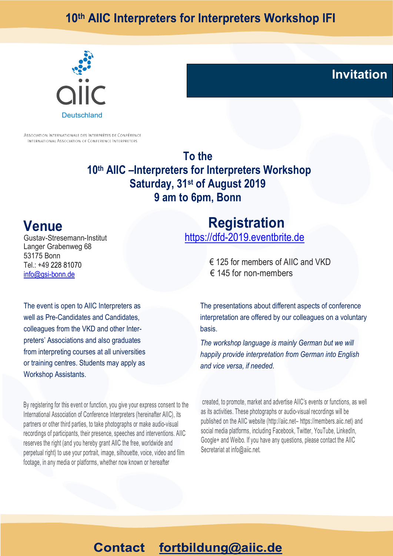# 10th AIIC Interpreters for Interpreters Workshop IFI



ASSOCIATION INTERNATIONALE DES INTERPRÈTES DE CONFÉRENCE INTERNATIONAL ASSOCIATION OF CONFERENCE INTERPRETERS

> **To the 10th AIIC –Interpreters for Interpreters Workshop Saturday, 31st of August 2019 9 am to 6pm, Bonn**

## **Venue**

Gustav-Stresemann-Institut Langer Grabenweg 68 53175 Bonn Tel.: +49 228 81070 info@gsi-bonn.de

### **Registration** https://dfd-2019.eventbrite.de

 € 125 for members of AIIC and VKD  $€ 145$  for non-members

The event is open to AIIC Interpreters as well as Pre-Candidates and Candidates, colleagues from the VKD and other Interpreters' Associations and also graduates from interpreting courses at all universities or training centres. Students may apply as Workshop Assistants.

By registering for this event or function, you give your express consent to the International Association of Conference Interpreters (hereinafter AIIC), its partners or other third parties, to take photographs or make audio-visual recordings of participants, their presence, speeches and interventions. AIIC reserves the right (and you hereby grant AIIC the free, worldwide and perpetual right) to use your portrait, image, silhouette, voice, video and film footage, in any media or platforms, whether now known or hereafter

The presentations about different aspects of conference interpretation are offered by our colleagues on a voluntary basis.

**Invitation**

*The workshop language is mainly German but we will happily provide interpretation from German into English and vice versa, if needed*.

created, to promote, market and advertise AIIC's events or functions, as well as its activities. These photographs or audio-visual recordings will be published on the AIIC website (http://aiic.net– https://members.aiic.net) and social media platforms, including Facebook, Twitter, YouTube, LinkedIn, Google+ and Weibo. If you have any questions, please contact the AIIC Secretariat at info@aiic.net.

#### fortbildung@aiic.de **Contact**